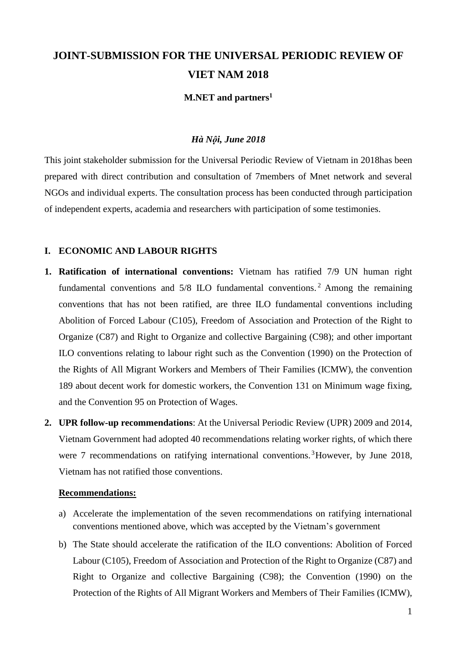# **JOINT-SUBMISSION FOR THE UNIVERSAL PERIODIC REVIEW OF VIET NAM 2018**

# **M.NET and partners<sup>1</sup>**

# *Hà Nội, June 2018*

This joint stakeholder submission for the Universal Periodic Review of Vietnam in 2018has been prepared with direct contribution and consultation of 7members of Mnet network and several NGOs and individual experts. The consultation process has been conducted through participation of independent experts, academia and researchers with participation of some testimonies.

## **I. ECONOMIC AND LABOUR RIGHTS**

- **1. Ratification of international conventions:** Vietnam has ratified 7/9 UN human right fundamental conventions and 5/8 ILO fundamental conventions. <sup>2</sup> Among the remaining conventions that has not been ratified, are three ILO fundamental conventions including Abolition of Forced Labour (C105), Freedom of Association and Protection of the Right to Organize (C87) and Right to Organize and collective Bargaining (C98); and other important ILO conventions relating to labour right such as the Convention (1990) on the Protection of the Rights of All Migrant Workers and Members of Their Families (ICMW), the convention 189 about decent work for domestic workers, the Convention 131 on Minimum wage fixing, and the Convention 95 on Protection of Wages.
- **2. UPR follow-up recommendations**: At the Universal Periodic Review (UPR) 2009 and 2014, Vietnam Government had adopted 40 recommendations relating worker rights, of which there were 7 recommendations on ratifying international conventions.<sup>3</sup>However, by June 2018, Vietnam has not ratified those conventions.

## **Recommendations:**

- a) Accelerate the implementation of the seven recommendations on ratifying international conventions mentioned above, which was accepted by the Vietnam's government
- b) The State should accelerate the ratification of the ILO conventions: Abolition of Forced Labour (C105), Freedom of Association and Protection of the Right to Organize (C87) and Right to Organize and collective Bargaining (C98); the Convention (1990) on the Protection of the Rights of All Migrant Workers and Members of Their Families (ICMW),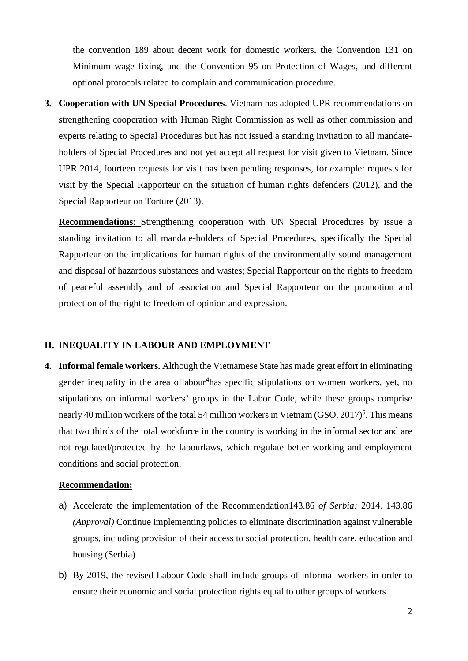the convention 189 about decent work for domestic workers, the Convention 131 on Minimum wage fixing, and the Convention 95 on Protection of Wages, and different optional protocols related to complain and communication procedure.

**3. Cooperation with UN Special Procedures**. Vietnam has adopted UPR recommendations on strengthening cooperation with Human Right Commission as well as other commission and experts relating to Special Procedures but has not issued a standing invitation to all mandateholders of Special Procedures and not yet accept all request for visit given to Vietnam. Since UPR 2014, fourteen requests for visit has been pending responses, for example: requests for visit by the Special Rapporteur on the situation of human rights defenders (2012), and the Special Rapporteur on Torture (2013).

**Recommendations**: Strengthening cooperation with UN Special Procedures by issue a standing invitation to all mandate-holders of Special Procedures, specifically the Special Rapporteur on the implications for human rights of the environmentally sound management and disposal of hazardous substances and wastes; Special Rapporteur on the rights to freedom of peaceful assembly and of association and Special Rapporteur on the promotion and protection of the right to freedom of opinion and expression.

## **II. INEQUALITY IN LABOUR AND EMPLOYMENT**

**4. Informal female workers.** Although the Vietnamese State has made great effort in eliminating gender inequality in the area oflabour<sup>4</sup>has specific stipulations on women workers, yet, no stipulations on informal workers' groups in the Labor Code, while these groups comprise nearly 40 million workers of the total 54 million workers in Vietnam  $(GSO, 2017)^5$ . This means that two thirds of the total workforce in the country is working in the informal sector and are not regulated/protected by the labourlaws, which regulate better working and employment conditions and social protection.

# **Recommendation:**

- a) Accelerate the implementation of the Recommendation143.86 *of Serbia:* 2014. 143.86 *(Approval)* Continue implementing policies to eliminate discrimination against vulnerable groups, including provision of their access to social protection, health care, education and housing (Serbia)
- b) By 2019, the revised Labour Code shall include groups of informal workers in order to ensure their economic and social protection rights equal to other groups of workers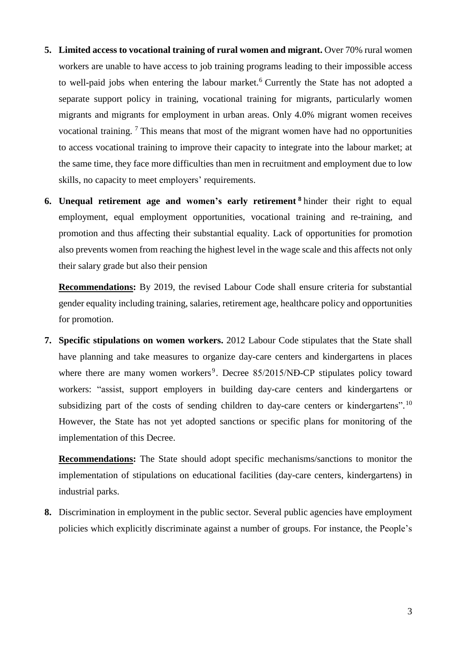- **5. Limited access to vocational training of rural women and migrant.** Over 70% rural women workers are unable to have access to job training programs leading to their impossible access to well-paid jobs when entering the labour market. <sup>6</sup> Currently the State has not adopted a separate support policy in training, vocational training for migrants, particularly women migrants and migrants for employment in urban areas. Only 4.0% migrant women receives vocational training.<sup>7</sup> This means that most of the migrant women have had no opportunities to access vocational training to improve their capacity to integrate into the labour market; at the same time, they face more difficulties than men in recruitment and employment due to low skills, no capacity to meet employers' requirements.
- **6. Unequal retirement age and women's early retirement <sup>8</sup>** hinder their right to equal employment, equal employment opportunities, vocational training and re-training, and promotion and thus affecting their substantial equality. Lack of opportunities for promotion also prevents women from reaching the highest level in the wage scale and this affects not only their salary grade but also their pension

**Recommendations:** By 2019, the revised Labour Code shall ensure criteria for substantial gender equality including training, salaries, retirement age, healthcare policy and opportunities for promotion.

**7. Specific stipulations on women workers.** 2012 Labour Code stipulates that the State shall have planning and take measures to organize day-care centers and kindergartens in places where there are many women workers<sup>9</sup>. Decree 85/2015/NĐ-CP stipulates policy toward workers: "assist, support employers in building day-care centers and kindergartens or subsidizing part of the costs of sending children to day-care centers or kindergartens".<sup>10</sup> However, the State has not yet adopted sanctions or specific plans for monitoring of the implementation of this Decree.

**Recommendations:** The State should adopt specific mechanisms/sanctions to monitor the implementation of stipulations on educational facilities (day-care centers, kindergartens) in industrial parks.

**8.** Discrimination in employment in the public sector. Several public agencies have employment policies which explicitly discriminate against a number of groups. For instance, the People's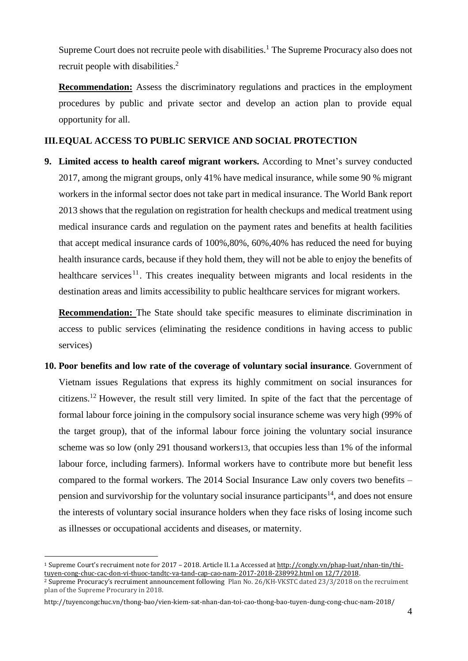Supreme Court does not recruite peole with disabilities.<sup>1</sup> The Supreme Procuracy also does not recruit people with disabilities.<sup>2</sup>

**Recommendation:** Assess the discriminatory regulations and practices in the employment procedures by public and private sector and develop an action plan to provide equal opportunity for all.

# **III.EQUAL ACCESS TO PUBLIC SERVICE AND SOCIAL PROTECTION**

**9. Limited access to health careof migrant workers.** According to Mnet's survey conducted 2017, among the migrant groups, only 41% have medical insurance, while some 90 % migrant workers in the informal sector does not take part in medical insurance. The World Bank report 2013 shows that the regulation on registration for health checkups and medical treatment using medical insurance cards and regulation on the payment rates and benefits at health facilities that accept medical insurance cards of 100%,80%, 60%,40% has reduced the need for buying health insurance cards, because if they hold them, they will not be able to enjoy the benefits of healthcare services<sup>11</sup>. This creates inequality between migrants and local residents in the destination areas and limits accessibility to public healthcare services for migrant workers.

**Recommendation:** The State should take specific measures to eliminate discrimination in access to public services (eliminating the residence conditions in having access to public services)

**10. Poor benefits and low rate of the coverage of voluntary social insurance**. Government of Vietnam issues Regulations that express its highly commitment on social insurances for citizens. <sup>12</sup> However, the result still very limited. In spite of the fact that the percentage of formal labour force joining in the compulsory social insurance scheme was very high (99% of the target group), that of the informal labour force joining the voluntary social insurance scheme was so low (only 291 thousand workers13, that occupies less than 1% of the informal labour force, including farmers). Informal workers have to contribute more but benefit less compared to the formal workers. The 2014 Social Insurance Law only covers two benefits – pension and survivorship for the voluntary social insurance participants<sup>14</sup>, and does not ensure the interests of voluntary social insurance holders when they face risks of losing income such as illnesses or occupational accidents and diseases, or maternity.

<sup>&</sup>lt;u>.</u> <sup>1</sup> Supreme Court's recruiment note for 2017 – 2018. Article II.1.a Accessed at [http://congly.vn/phap-luat/nhan-tin/thi](http://congly.vn/phap-luat/nhan-tin/thi-tuyen-cong-chuc-cac-don-vi-thuoc-tandtc-va-tand-cap-cao-nam-2017-2018-238992.html%20on%2012/7/2018)[tuyen-cong-chuc-cac-don-vi-thuoc-tandtc-va-tand-cap-cao-nam-2017-2018-238992.html](http://congly.vn/phap-luat/nhan-tin/thi-tuyen-cong-chuc-cac-don-vi-thuoc-tandtc-va-tand-cap-cao-nam-2017-2018-238992.html%20on%2012/7/2018) on 12/7/2018.

<sup>2</sup> Supreme Procuracy's recruiment announcement following Plan No. 26/KH-VKSTC dated 23/3/2018 on the recruiment plan of the Supreme Procurary in 2018.

http://tuyencongchuc.vn/thong-bao/vien-kiem-sat-nhan-dan-toi-cao-thong-bao-tuyen-dung-cong-chuc-nam-2018/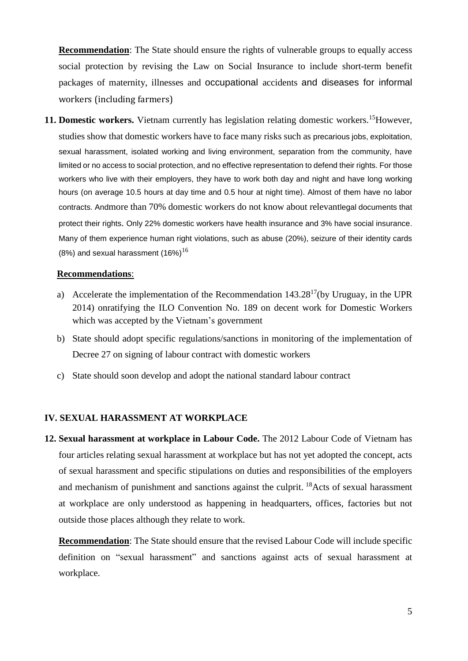**Recommendation**: The State should ensure the rights of vulnerable groups to equally access social protection by revising the Law on Social Insurance to include short-term benefit packages of maternity, illnesses and occupational accidents and diseases for informal workers (including farmers)

11. Domestic workers. Vietnam currently has legislation relating domestic workers.<sup>15</sup>However, studies show that domestic workers have to face many risks such as precarious jobs, exploitation, sexual harassment, isolated working and living environment, separation from the community, have limited or no access to social protection, and no effective representation to defend their rights. For those workers who live with their employers, they have to work both day and night and have long working hours (on average 10.5 hours at day time and 0.5 hour at night time). Almost of them have no labor contracts. Andmore than 70% domestic workers do not know about relevantlegal documents that protect their rights. Only 22% domestic workers have health insurance and 3% have social insurance. Many of them experience human right violations, such as abuse (20%), seizure of their identity cards (8%) and sexual harassment  $(16\%)^{16}$ 

## **Recommendations**:

- a) Accelerate the implementation of the Recommendation  $143.28^{17}$ (by Uruguay, in the UPR 2014) onratifying the ILO Convention No. 189 on decent work for Domestic Workers which was accepted by the Vietnam's government
- b) State should adopt specific regulations/sanctions in monitoring of the implementation of Decree 27 on signing of labour contract with domestic workers
- c) State should soon develop and adopt the national standard labour contract

# **IV. SEXUAL HARASSMENT AT WORKPLACE**

**12. Sexual harassment at workplace in Labour Code.** The 2012 Labour Code of Vietnam has four articles relating sexual harassment at workplace but has not yet adopted the concept, acts of sexual harassment and specific stipulations on duties and responsibilities of the employers and mechanism of punishment and sanctions against the culprit. <sup>18</sup>Acts of sexual harassment at workplace are only understood as happening in headquarters, offices, factories but not outside those places although they relate to work.

**Recommendation**: The State should ensure that the revised Labour Code will include specific definition on "sexual harassment" and sanctions against acts of sexual harassment at workplace.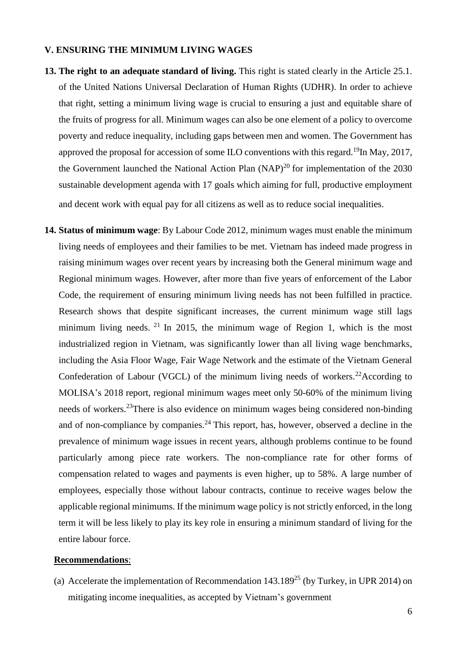# **V. ENSURING THE MINIMUM LIVING WAGES**

- **13. The right to an adequate standard of living.** This right is stated clearly in the Article 25.1. of the United Nations Universal Declaration of Human Rights (UDHR). In order to achieve that right, setting a minimum living wage is crucial to ensuring a just and equitable share of the fruits of progress for all. Minimum wages can also be one element of a policy to overcome poverty and reduce inequality, including gaps between men and women. The Government has approved the proposal for accession of some ILO conventions with this regard.<sup>19</sup>In May, 2017, the Government launched the National Action Plan  $(NAP)^{20}$  for implementation of the 2030 sustainable development agenda with 17 goals which aiming for full, productive employment and decent work with equal pay for all citizens as well as to reduce social inequalities.
- **14. Status of minimum wage**: By Labour Code 2012, minimum wages must enable the minimum living needs of employees and their families to be met. Vietnam has indeed made progress in raising minimum wages over recent years by increasing both the General minimum wage and Regional minimum wages. However, after more than five years of enforcement of the Labor Code, the requirement of ensuring minimum living needs has not been fulfilled in practice. Research shows that despite significant increases, the current minimum wage still lags minimum living needs. <sup>21</sup> In 2015, the minimum wage of Region 1, which is the most industrialized region in Vietnam, was significantly lower than all living wage benchmarks, including the Asia Floor Wage, Fair Wage Network and the estimate of the Vietnam General Confederation of Labour (VGCL) of the minimum living needs of workers.<sup>22</sup>According to MOLISA's 2018 report, regional minimum wages meet only 50-60% of the minimum living needs of workers.<sup>23</sup>There is also evidence on minimum wages being considered non-binding and of non-compliance by companies.<sup>24</sup> This report, has, however, observed a decline in the prevalence of minimum wage issues in recent years, although problems continue to be found particularly among piece rate workers. The non-compliance rate for other forms of compensation related to wages and payments is even higher, up to 58%. A large number of employees, especially those without labour contracts, continue to receive wages below the applicable regional minimums. If the minimum wage policy is not strictly enforced, in the long term it will be less likely to play its key role in ensuring a minimum standard of living for the entire labour force.

## **Recommendations**:

(a) Accelerate the implementation of Recommendation  $143.189^{25}$  (by Turkey, in UPR 2014) on mitigating income inequalities, as accepted by Vietnam's government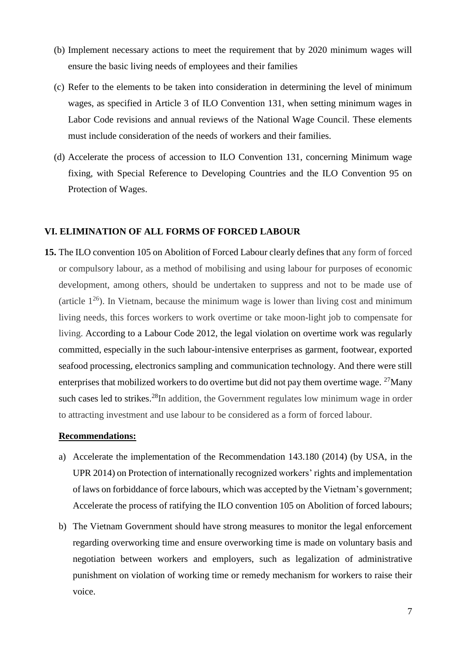- (b) Implement necessary actions to meet the requirement that by 2020 minimum wages will ensure the basic living needs of employees and their families
- (c) Refer to the elements to be taken into consideration in determining the level of minimum wages, as specified in Article 3 of ILO Convention 131, when setting minimum wages in Labor Code revisions and annual reviews of the National Wage Council. These elements must include consideration of the needs of workers and their families.
- (d) Accelerate the process of accession to ILO Convention 131, concerning Minimum wage fixing, with Special Reference to Developing Countries and the ILO Convention 95 on Protection of Wages.

## **VI. ELIMINATION OF ALL FORMS OF FORCED LABOUR**

**15.** The ILO convention 105 on Abolition of Forced Labour clearly defines that any form of forced or compulsory labour, as a method of mobilising and using labour for purposes of economic development, among others, should be undertaken to suppress and not to be made use of (article  $1^{26}$ ). In Vietnam, because the minimum wage is lower than living cost and minimum living needs, this forces workers to work overtime or take moon-light job to compensate for living. According to a Labour Code 2012, the legal violation on overtime work was regularly committed, especially in the such labour-intensive enterprises as garment, footwear, exported seafood processing, electronics sampling and communication technology. And there were still enterprises that mobilized workers to do overtime but did not pay them overtime wage.  $^{27}$ Many such cases led to strikes.<sup>28</sup>In addition, the Government regulates low minimum wage in order to attracting investment and use labour to be considered as a form of forced labour.

## **Recommendations:**

- a) Accelerate the implementation of the Recommendation 143.180 (2014) (by USA, in the UPR 2014) on Protection of internationally recognized workers' rights and implementation of laws on forbiddance of force labours, which was accepted by the Vietnam's government; Accelerate the process of ratifying the ILO convention 105 on Abolition of forced labours;
- b) The Vietnam Government should have strong measures to monitor the legal enforcement regarding overworking time and ensure overworking time is made on voluntary basis and negotiation between workers and employers, such as legalization of administrative punishment on violation of working time or remedy mechanism for workers to raise their voice.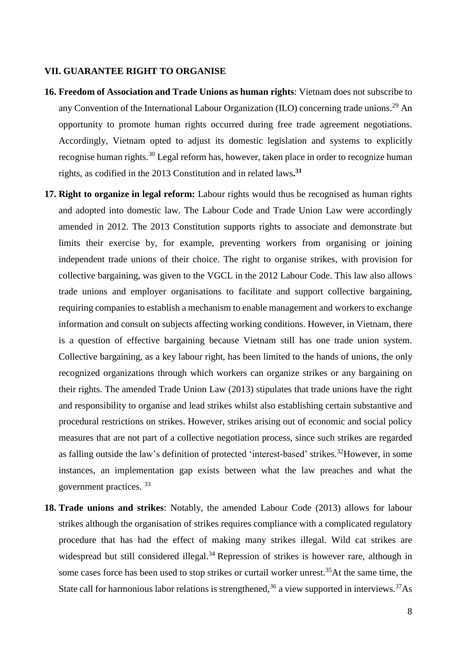#### **VII. GUARANTEE RIGHT TO ORGANISE**

- **16. Freedom of Association and Trade Unions as human rights**: Vietnam does not subscribe to any Convention of the International Labour Organization (ILO) concerning trade unions.<sup>29</sup> An opportunity to promote human rights occurred during free trade agreement negotiations. Accordingly, Vietnam opted to adjust its domestic legislation and systems to explicitly recognise human rights.<sup>30</sup> Legal reform has, however, taken place in order to recognize human rights, as codified in the 2013 Constitution and in related laws**. 31**
- **17. Right to organize in legal reform:** Labour rights would thus be recognised as human rights and adopted into domestic law. The Labour Code and Trade Union Law were accordingly amended in 2012. The 2013 Constitution supports rights to associate and demonstrate but limits their exercise by, for example, preventing workers from organising or joining independent trade unions of their choice. The right to organise strikes, with provision for collective bargaining, was given to the VGCL in the 2012 Labour Code. This law also allows trade unions and employer organisations to facilitate and support collective bargaining, requiring companies to establish a mechanism to enable management and workers to exchange information and consult on subjects affecting working conditions. However, in Vietnam, there is a question of effective bargaining because Vietnam still has one trade union system. Collective bargaining, as a key labour right, has been limited to the hands of unions, the only recognized organizations through which workers can organize strikes or any bargaining on their rights. The amended Trade Union Law (2013) stipulates that trade unions have the right and responsibility to organise and lead strikes whilst also establishing certain substantive and procedural restrictions on strikes. However, strikes arising out of economic and social policy measures that are not part of a collective negotiation process, since such strikes are regarded as falling outside the law's definition of protected 'interest-based' strikes.<sup>32</sup>However, in some instances, an implementation gap exists between what the law preaches and what the government practices. <sup>33</sup>
- **18. Trade unions and strikes**: Notably, the amended Labour Code (2013) allows for labour strikes although the organisation of strikes requires compliance with a complicated regulatory procedure that has had the effect of making many strikes illegal. Wild cat strikes are widespread but still considered illegal.<sup>34</sup> Repression of strikes is however rare, although in some cases force has been used to stop strikes or curtail worker unrest.<sup>35</sup>At the same time, the State call for harmonious labor relations is strengthened,<sup>36</sup> a view supported in interviews.<sup>37</sup>As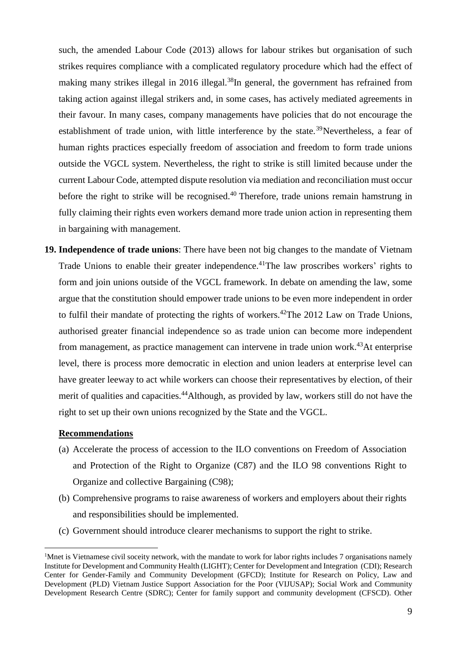such, the amended Labour Code (2013) allows for labour strikes but organisation of such strikes requires compliance with a complicated regulatory procedure which had the effect of making many strikes illegal in 2016 illegal.<sup>38</sup>In general, the government has refrained from taking action against illegal strikers and, in some cases, has actively mediated agreements in their favour. In many cases, company managements have policies that do not encourage the establishment of trade union, with little interference by the state.<sup>39</sup>Nevertheless, a fear of human rights practices especially freedom of association and freedom to form trade unions outside the VGCL system. Nevertheless, the right to strike is still limited because under the current Labour Code, attempted dispute resolution via mediation and reconciliation must occur before the right to strike will be recognised.<sup>40</sup> Therefore, trade unions remain hamstrung in fully claiming their rights even workers demand more trade union action in representing them in bargaining with management.

**19. Independence of trade unions**: There have been not big changes to the mandate of Vietnam Trade Unions to enable their greater independence.<sup>41</sup>The law proscribes workers' rights to form and join unions outside of the VGCL framework. In debate on amending the law, some argue that the constitution should empower trade unions to be even more independent in order to fulfil their mandate of protecting the rights of workers.<sup>42</sup>The 2012 Law on Trade Unions, authorised greater financial independence so as trade union can become more independent from management, as practice management can intervene in trade union work.<sup>43</sup>At enterprise level, there is process more democratic in election and union leaders at enterprise level can have greater leeway to act while workers can choose their representatives by election, of their merit of qualities and capacities.<sup>44</sup>Although, as provided by law, workers still do not have the right to set up their own unions recognized by the State and the VGCL.

## **Recommendations**

1

- (a) Accelerate the process of accession to the ILO conventions on Freedom of Association and Protection of the Right to Organize (C87) and the ILO 98 conventions Right to Organize and collective Bargaining (C98);
- (b) Comprehensive programs to raise awareness of workers and employers about their rights and responsibilities should be implemented.
- (c) Government should introduce clearer mechanisms to support the right to strike.

<sup>&</sup>lt;sup>1</sup>Mnet is Vietnamese civil soceity network, with the mandate to work for labor rights includes 7 organisations namely Institute for Development and Community Health (LIGHT); Center for Development and Integration (CDI); Research Center for Gender-Family and Community Development (GFCD); Institute for Research on Policy, Law and Development (PLD) Vietnam Justice Support Association for the Poor (VIJUSAP); Social Work and Community Development Research Centre (SDRC); Center for family support and community development (CFSCD). Other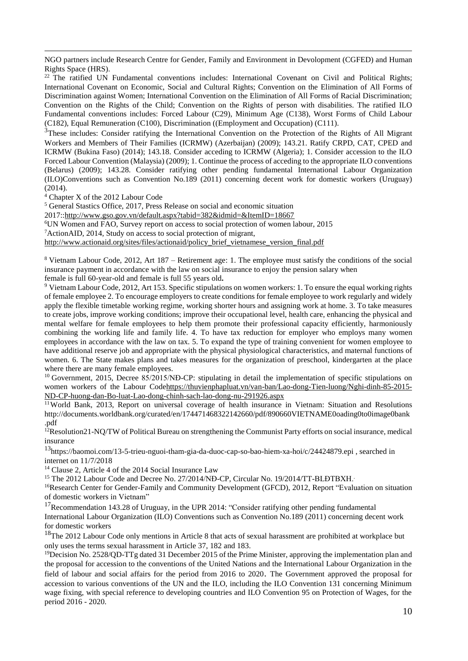NGO partners include Research Centre for Gender, Family and Environment in Devolopment (CGFED) and Human Rights Space (HRS).

<sup>22</sup> The ratified UN Fundamental conventions includes: International Covenant on Civil and Political Rights; International Covenant on Economic, Social and Cultural Rights; Convention on the Elimination of All Forms of Discrimination against Women; International Convention on the Elimination of All Forms of Racial Discrimination; Convention on the Rights of the Child; Convention on the Rights of person with disabilities. The ratified ILO Fundamental conventions includes: Forced Labour (C29), Minimum Age (C138), Worst Forms of Child Labour (C182), Equal Remuneration (C100), Discrimination ((Employment and Occupation) (C111).

<sup>3</sup>These includes: Consider ratifying the International Convention on the Protection of the Rights of All Migrant Workers and Members of Their Families (ICRMW) (Azerbaijan) (2009); 143.21. Ratify CRPD, CAT, CPED and ICRMW (Bukina Faso) (2014); 143.18. Consider acceding to ICRMW (Algeria); 1. Consider accession to the ILO Forced Labour Convention (Malaysia) (2009); 1. Continue the process of acceding to the appropriate ILO conventions (Belarus) (2009); 143.28. Consider ratifying other pending fundamental International Labour Organization (ILO)Conventions such as Convention No.189 (2011) concerning decent work for domestic workers (Uruguay)  $(2014)$ .

<sup>4</sup> Chapter X of the 2012 Labour Code

1

<sup>5</sup> General Stastics Office, 2017, Press Release on social and economic situation 2017:[:http://www.gso.gov.vn/default.aspx?tabid=382&idmid=&ItemID=18667](http://www.gso.gov.vn/default.aspx?tabid=382&idmid=&ItemID=18667) <sup>6</sup>UN Women and FAO, Survey report on access to social protection of women labour, 2015 <sup>7</sup>ActionAID, 2014, Study on access to social protection of migrant, [http://www.actionaid.org/sites/files/actionaid/policy\\_brief\\_vietnamese\\_version\\_final.pdf](http://www.actionaid.org/sites/files/actionaid/policy_brief_vietnamese_version_final.pdf)

<sup>8</sup> Vietnam Labour Code, 2012, Art 187 – Retirement age: 1. The employee must satisfy the conditions of the social insurance payment in accordance with the law on social insurance to enjoy the pension salary when female is full 60-year-old and female is full 55 years old**.**

<sup>9</sup> Vietnam Labour Code, 2012, Art 153. Specific stipulations on women workers: 1. To ensure the equal working rights of female employee 2. To encourage employers to create conditions for female employee to work regularly and widely apply the flexible timetable working regime, working shorter hours and assigning work at home. 3. To take measures to create jobs, improve working conditions; improve their occupational level, health care, enhancing the physical and mental welfare for female employees to help them promote their professional capacity efficiently, harmoniously combining the working life and family life. 4. To have tax reduction for employer who employs many women employees in accordance with the law on tax. 5. To expand the type of training convenient for women employee to have additional reserve job and appropriate with the physical physiological characteristics, and maternal functions of women. 6. The State makes plans and takes measures for the organization of preschool, kindergarten at the place where there are many female employees.

<sup>10</sup> Government, 2015, Decree 85/2015/NĐ-CP: stipulating in detail the implementation of specific stipulations on women workers of the Labour Cod[ehttps://thuvienphapluat.vn/van-ban/Lao-dong-Tien-luong/Nghi-dinh-85-2015-](https://thuvienphapluat.vn/van-ban/Lao-dong-Tien-luong/Nghi-dinh-85-2015-ND-CP-huong-dan-Bo-luat-Lao-dong-chinh-sach-lao-dong-nu-291926.aspx) [ND-CP-huong-dan-Bo-luat-Lao-dong-chinh-sach-lao-dong-nu-291926.aspx](https://thuvienphapluat.vn/van-ban/Lao-dong-Tien-luong/Nghi-dinh-85-2015-ND-CP-huong-dan-Bo-luat-Lao-dong-chinh-sach-lao-dong-nu-291926.aspx)

<sup>11</sup>World Bank, 2013, Report on universal coverage of health insurance in Vietnam: Situation and Resolutions http://documents.worldbank.org/curated/en/174471468322142660/pdf/890660VIETNAME0oading0to0image0bank .pdf

 $12$ Resolution21-NO/TW of Political Bureau on strengthening the Communist Party efforts on social insurance, medical insurance

<sup>13</sup><https://baomoi.com/13-5-trieu-nguoi-tham-gia-da-duoc-cap-so-bao-hiem-xa-hoi/c/24424879.epi> , searched in internet on 11/7/2018

<sup>14</sup> Clause 2, Article 4 of the 2014 Social Insurance Law

<sup>15</sup> The 2012 Labour Code and Decree No. 27/2014/NĐ-CP, Circular No. 19/2014/TT-BLĐTBXH.

<sup>16</sup>Research Center for Gender-Family and Community Development (GFCD), 2012, Report "Evaluation on situation" of domestic workers in Vietnam"

 $17$ Recommendation 143.28 of Uruguay, in the UPR 2014: "Consider ratifying other pending fundamental International Labour Organization (ILO) Conventions such as Convention No.189 (2011) concerning decent work for domestic workers

<sup>18</sup>The 2012 Labour Code only mentions in Article 8 that acts of sexual harassment are prohibited at workplace but only uses the terms sexual harassment in Article 37, 182 and 183.

<sup>19</sup>Decision No. 2528/OD-TTg dated 31 December 2015 of the Prime Minister, approving the implementation plan and the proposal for accession to the conventions of the United Nations and the International Labour Organization in the field of labour and social affairs for the period from 2016 to 2020. The Government approved the proposal for accession to various conventions of the UN and the ILO, including the ILO Convention 131 concerning Minimum wage fixing, with special reference to developing countries and ILO Convention 95 on Protection of Wages, for the period 2016 - 2020.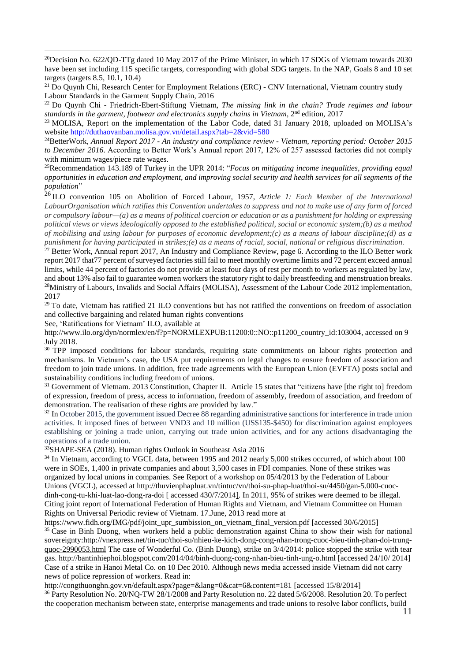<sup>20</sup>Decision No. 622/OD-TTg dated 10 May 2017 of the Prime Minister, in which 17 SDGs of Vietnam towards 2030 have been set including 115 specific targets, corresponding with global SDG targets. In the NAP, Goals 8 and 10 set targets (targets 8.5, 10.1, 10.4)

<sup>21</sup> Do Quynh Chi, Research Center for Employment Relations (ERC) - CNV International, Vietnam country study Labour Standards in the Garment Supply Chain, 2016

<sup>22</sup> Do Quynh Chi - Friedrich-Ebert-Stiftung Vietnam, *The missing link in the chain? Trade regimes and labour standards in the garment, footwear and electronics supply chains in Vietnam,* 2<sup>nd</sup> edition, 2017

<sup>23</sup> MOLISA, Report on the implementation of the Labor Code, dated 31 January 2018, uploaded on MOLISA's website <http://duthaovanban.molisa.gov.vn/detail.aspx?tab=2&vid=580>

<sup>24</sup>BetterWork, *Annual Report 2017 - An industry and compliance review - Vietnam, reporting period: October 2015 to December 2016*. According to Better Work's Annual report 2017, 12% of 257 assessed factories did not comply with minimum wages/piece rate wages.

<sup>25</sup>Recommendation 143.189 of Turkey in the UPR 2014: "*Focus on mitigating income inequalities, providing equal* opportunities in education and employment, and improving social security and health services for all segments of the *population*"

<sup>26</sup> ILO convention 105 on Abolition of Forced Labour, 1957, *Article 1: Each Member of the International* LabourOrganisation which ratifies this Convention undertakes to suppress and not to make use of any form of forced *or compulsory labour—(a) as a means of political coercion or education or as a punishment for holding or expressing political views or views ideologically opposed to the established political, social or economic system;(b) as a method of mobilising and using labour for purposes of economic development;(c) as a means of labour discipline;(d) as a punishment for having participated in strikes;(e) as a means of racial, social, national or religious discrimination.*

<sup>27</sup> Better Work, Annual report 2017, An Industry and Compliance Review, page 6. According to the ILO Better work report 2017 that77 percent of surveyed factories still fail to meet monthly overtime limits and 72 percent exceed annual limits, while 44 percent of factories do not provide at least four days of rest per month to workers as regulated by law, and about 13% also fail to guarantee women workers the statutory right to daily breastfeeding and menstruation breaks. <sup>28</sup>Ministry of Labours, Invalids and Social Affairs (MOLISA), Assessment of the Labour Code 2012 implementation, 2017

<sup>29</sup> To date, Vietnam has ratified 21 ILO conventions but has not ratified the conventions on freedom of association and collective bargaining and related human rights conventions

See, 'Ratifications for Vietnam' ILO, available at

1

[http://www.ilo.org/dyn/normlex/en/f?p=NORMLEXPUB:11200:0::NO::p11200\\_country\\_id:103004,](http://www.ilo.org/dyn/normlex/en/f?p=NORMLEXPUB:11200:0::NO::p11200_country_id:103004) accessed on 9 July 2018.

<sup>30</sup> TPP imposed conditions for labour standards, requiring state commitments on labour rights protection and mechanisms. In Vietnam's case, the USA put requirements on legal changes to ensure freedom of association and freedom to join trade unions. In addition, free trade agreements with the European Union (EVFTA) posts social and sustainability conditions including freedom of unions.

<sup>31</sup> Government of Vietnam. 2013 Constitution, Chapter II. Article 15 states that "citizens have [the right to] freedom of expression, freedom of press, access to information, freedom of assembly, freedom of association, and freedom of demonstration. The realisation of these rights are provided by law."

<sup>32</sup> In October 2015, the government issued Decree 88 regarding administrative sanctions for interference in trade union activities. It imposed fines of between VND3 and 10 million (US\$135-\$450) for discrimination against employees establishing or joining a trade union, carrying out trade union activities, and for any actions disadvantaging the operations of a trade union.

<sup>33</sup>SHAPE-SEA (2018). Human rights Outlook in Southeast Asia 2016

<sup>34</sup> In Vietnam, according to VGCL data, between 1995 and 2012 nearly 5,000 strikes occurred, of which about 100 were in SOEs, 1,400 in private companies and about 3,500 cases in FDI companies. None of these strikes was organized by local unions in companies. See Report of a workshop on 05/4/2013 by the Federation of Labour Unions (VGCL), accessed at [http://thuvienphapluat.vn/tintuc/vn/thoi-su-phap-luat/thoi-su/4450/gan-5.000-cuoc](http://thuvienphapluat.vn/tintuc/vn/thoi-su-phap-luat/thoi-su/4450/gan-5.000-cuoc-dinh-cong-tu-khi-luat-lao-dong-ra-doi)[dinh-cong-tu-khi-luat-lao-dong-ra-doi](http://thuvienphapluat.vn/tintuc/vn/thoi-su-phap-luat/thoi-su/4450/gan-5.000-cuoc-dinh-cong-tu-khi-luat-lao-dong-ra-doi) [ accessed 430/7/2014]. In 2011, 95% of strikes were deemed to be illegal. Citing joint report of International Federation of Human Rights and Vietnam, and Vietnam Committee on Human Rights on Universal Periodic review of Vietnam. 17.June, 2013 read more at

[https://www.fidh.org/IMG/pdf/joint\\_upr\\_sumbission\\_on\\_vietnam\\_final\\_version.pdf](https://www.fidh.org/IMG/pdf/joint_upr_sumbission_on_vietnam_final_version.pdf) [accessed 30/6/2015] <sup>35</sup> Case in Binh Duong, when workers held a public demonstration against China to show their wish for national sovereignty[:http://vnexpress.net/tin-tuc/thoi-su/nhieu-ke-kich-dong-cong-nhan-trong-cuoc-bieu-tinh-phan-doi-trung](http://vnexpress.net/tin-tuc/thoi-su/nhieu-ke-kich-dong-cong-nhan-trong-cuoc-bieu-tinh-phan-doi-trung-quoc-2990053.html)[quoc-2990053.html](http://vnexpress.net/tin-tuc/thoi-su/nhieu-ke-kich-dong-cong-nhan-trong-cuoc-bieu-tinh-phan-doi-trung-quoc-2990053.html) The case of Wonderful Co. (Binh Duong), strike on 3/4/2014: police stopped the strike with tear gas. <http://bantinhiephoi.blogspot.com/2014/04/binh-duong-cong-nhan-bieu-tinh-ung-o.html> [accessed 24/10/ 2014] Case of a strike in Hanoi Metal Co. on 10 Dec 2010. Although news media accessed inside Vietnam did not carry news of police repression of workers. Read in:

<http://congthuonghn.gov.vn/default.aspx?page=&lang=0&cat=6&content=181> [accessed 15/8/2014]

<sup>36</sup> Party Resolution No. 20/NQ-TW 28/1/2008 and Party Resolution no. 22 dated 5/6/2008. Resolution 20. To perfect the cooperation mechanism between state, enterprise managements and trade unions to resolve labor conflicts, build